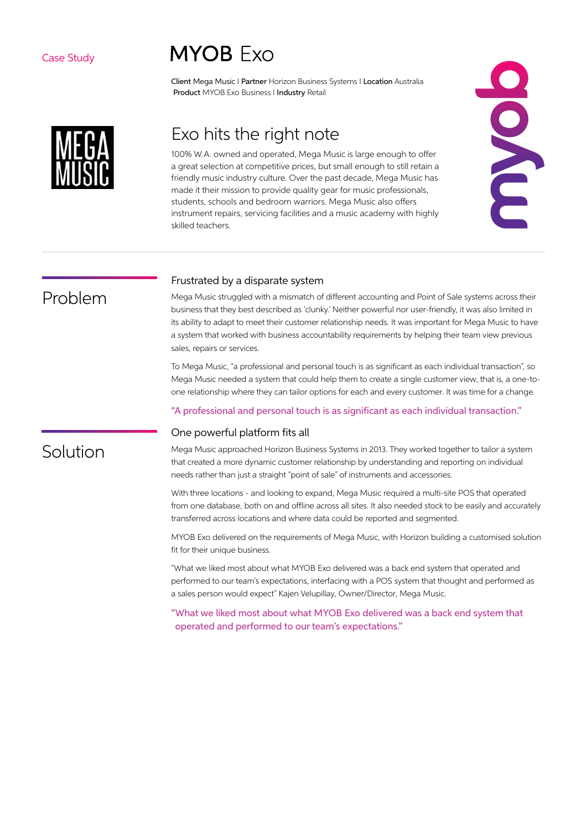### Case Study

# **MYOB Exo**

Client Mega Music I Partner Horizon Business Systems I Location Australia Product MYOB Exo Business I Industry Retail



# Exo hits the right note

100% W.A. owned and operated, Mega Music is large enough to offer a great selection at competitive prices, but small enough to still retain a friendly music industry culture. Over the past decade, Mega Music has made it their mission to provide quality gear for music professionals, students, schools and bedroom warriors. Mega Music also offers instrument repairs, servicing facilities and a music academy with highly skilled teachers.



# Problem

### Frustrated by a disparate system

Mega Music struggled with a mismatch of different accounting and Point of Sale systems across their business that they best described as 'clunky.' Neither powerful nor user-friendly, it was also limited in its ability to adapt to meet their customer relationship needs. It was important for Mega Music to have a system that worked with business accountability requirements by helping their team view previous sales, repairs or services.

To Mega Music, "a professional and personal touch is as significant as each individual transaction", so Mega Music needed a system that could help them to create a single customer view, that is, a one-toone relationship where they can tailor options for each and every customer. It was time for a change.

### "A professional and personal touch is as significant as each individual transaction."

#### One powerful platform fits all

Solution

Mega Music approached Horizon Business Systems in 2013. They worked together to tailor a system that created a more dynamic customer relationship by understanding and reporting on individual needs rather than just a straight "point of sale" of instruments and accessories.

With three locations - and looking to expand, Mega Music required a multi-site POS that operated from one database, both on and offline across all sites. It also needed stock to be easily and accurately transferred across locations and where data could be reported and segmented.

MYOB Exo delivered on the requirements of Mega Music, with Horizon building a customised solution fit for their unique business.

"What we liked most about what MYOB Exo delivered was a back end system that operated and performed to our team's expectations, interfacing with a POS system that thought and performed as a sales person would expect" Kajen Velupillay, Owner/Director, Mega Music.

"What we liked most about what MYOB Exo delivered was a back end system that operated and performed to our team's expectations."